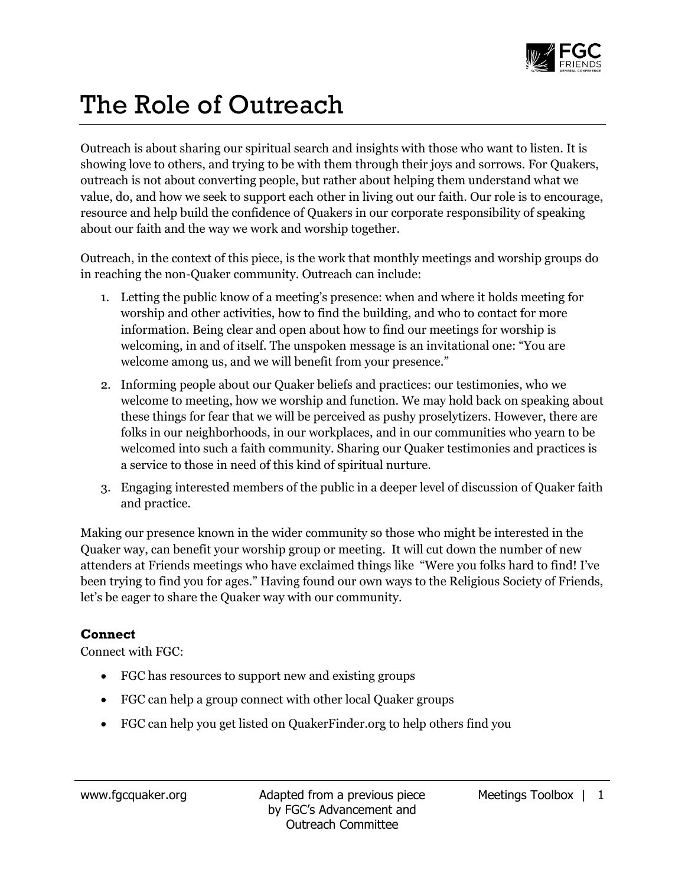

## The Role of Outreach

Outreach is about sharing our spiritual search and insights with those who want to listen. It is showing love to others, and trying to be with them through their joys and sorrows. For Quakers, outreach is not about converting people, but rather about helping them understand what we value, do, and how we seek to support each other in living out our faith. Our role is to encourage, resource and help build the confidence of Quakers in our corporate responsibility of speaking about our faith and the way we work and worship together.

Outreach, in the context of this piece, is the work that monthly meetings and worship groups do in reaching the non-Quaker community. Outreach can include:

- 1. Letting the public know of a meeting's presence: when and where it holds meeting for worship and other activities, how to find the building, and who to contact for more information. Being clear and open about how to find our meetings for worship is welcoming, in and of itself. The unspoken message is an invitational one: "You are welcome among us, and we will benefit from your presence."
- 2. Informing people about our Quaker beliefs and practices: our testimonies, who we welcome to meeting, how we worship and function. We may hold back on speaking about these things for fear that we will be perceived as pushy proselytizers. However, there are folks in our neighborhoods, in our workplaces, and in our communities who yearn to be welcomed into such a faith community. Sharing our Quaker testimonies and practices is a service to those in need of this kind of spiritual nurture.
- 3. Engaging interested members of the public in a deeper level of discussion of Quaker faith and practice.

Making our presence known in the wider community so those who might be interested in the Quaker way, can benefit your worship group or meeting. It will cut down the number of new attenders at Friends meetings who have exclaimed things like "Were you folks hard to find! I've been trying to find you for ages." Having found our own ways to the Religious Society of Friends, let's be eager to share the Quaker way with our community.

## **Connect**

Connect with FGC:

- FGC has resources to support new and existing groups
- FGC can help a group connect with other local Quaker groups
- FGC can help you get listed on QuakerFinder.org to help others find you